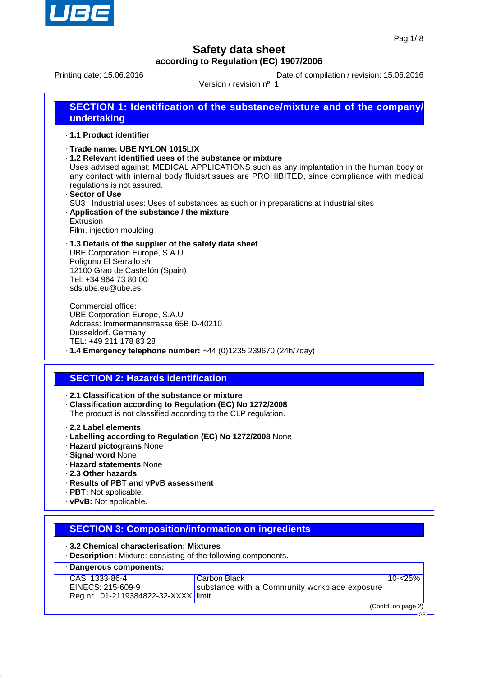

Printing date: 15.06.2016 **Date of compilation / revision: 15.06.2016** 

Version / revision nº: 1

| <b>SECTION 1: Identification of the substance/mixture and of the company/</b><br>undertaking |
|----------------------------------------------------------------------------------------------|
|                                                                                              |

- · **1.1 Product identifier**
- · **Trade name: UBE NYLON 1015LIX**
- · **1.2 Relevant identified uses of the substance or mixture**

Uses advised against: MEDICAL APPLICATIONS such as any implantation in the human body or any contact with internal body fluids/tissues are PROHIBITED, since compliance with medical regulations is not assured.

· **Sector of Use** SU3 Industrial uses: Uses of substances as such or in preparations at industrial sites · **Application of the substance / the mixture** Extrusion

Film, injection moulding

· **1.3 Details of the supplier of the safety data sheet** UBE Corporation Europe, S.A.U Polígono El Serrallo s/n 12100 Grao de Castellón (Spain) Tel: +34 964 73 80 00 sds.ube.eu@ube.es

Commercial office: UBE Corporation Europe, S.A.U Address: Immermannstrasse 65B D-40210 Dusseldorf. Germany TEL: +49 211 178 83 28

# · **1.4 Emergency telephone number:** +44 (0)1235 239670 (24h/7day)

## **SECTION 2: Hazards identification**

· **2.1 Classification of the substance or mixture**

- · **Classification according to Regulation (EC) No 1272/2008**
- The product is not classified according to the CLP regulation.
- · **2.2 Label elements**
- · **Labelling according to Regulation (EC) No 1272/2008** None
- · **Hazard pictograms** None
- · **Signal word** None
- · **Hazard statements** None
- · **2.3 Other hazards**
- · **Results of PBT and vPvB assessment**
- · **PBT:** Not applicable.
- · **vPvB:** Not applicable.

### **SECTION 3: Composition/information on ingredients**

- · **3.2 Chemical characterisation: Mixtures**
- · **Description:** Mixture: consisting of the following components.

| Dangerous components:                |                                               |         |
|--------------------------------------|-----------------------------------------------|---------|
| CAS: 1333-86-4                       | Carbon Black                                  | 10-<25% |
| EINECS: 215-609-9                    | substance with a Community workplace exposure |         |
| Reg.nr.: 01-2119384822-32-XXXX limit |                                               |         |

(Contd. on page 2)

GB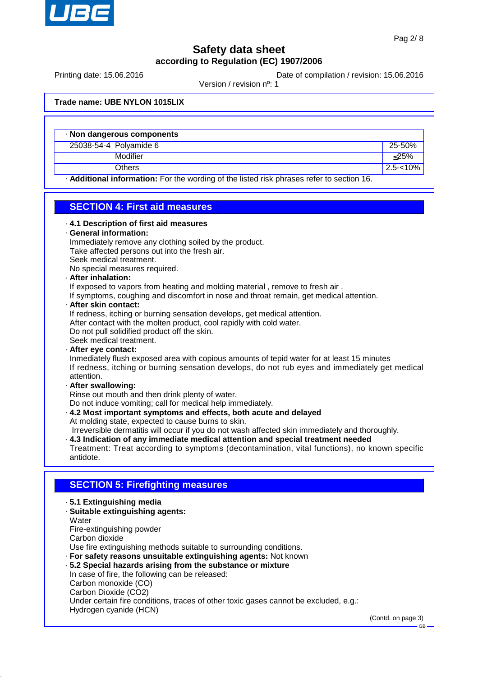

Printing date: 15.06.2016 **Date of compilation / revision: 15.06.2016** 

Version / revision nº: 1

#### **Trade name: UBE NYLON 1015LIX**

Hydrogen cyanide (HCN)

| Non dangerous components |                                                                                           |             |  |  |
|--------------------------|-------------------------------------------------------------------------------------------|-------------|--|--|
|                          | 25038-54-4 Polyamide 6                                                                    | 25-50%      |  |  |
|                          | Modifier                                                                                  | $<$ 25%     |  |  |
|                          | <b>Others</b>                                                                             | $2.5 - 10%$ |  |  |
|                          | . Additional information: For the wording of the listed risk phrases refer to section 16. |             |  |  |

### **SECTION 4: First aid measures**

| . 4.1 Description of first aid measures<br>· General information:<br>Immediately remove any clothing soiled by the product.<br>Take affected persons out into the fresh air.<br>Seek medical treatment.<br>No special measures required.<br>· After inhalation:<br>If exposed to vapors from heating and molding material, remove to fresh air.<br>If symptoms, coughing and discomfort in nose and throat remain, get medical attention.<br>· After skin contact:<br>If redness, itching or burning sensation develops, get medical attention.<br>After contact with the molten product, cool rapidly with cold water.<br>Do not pull solidified product off the skin.<br>Seek medical treatment.<br>· After eye contact:<br>Inmediately flush exposed area with copious amounts of tepid water for at least 15 minutes<br>If redness, itching or burning sensation develops, do not rub eyes and immediately get medical<br>attention.<br>· After swallowing:<br>Rinse out mouth and then drink plenty of water.<br>Do not induce vomiting; call for medical help immediately.<br>. 4.2 Most important symptoms and effects, both acute and delayed |
|-------------------------------------------------------------------------------------------------------------------------------------------------------------------------------------------------------------------------------------------------------------------------------------------------------------------------------------------------------------------------------------------------------------------------------------------------------------------------------------------------------------------------------------------------------------------------------------------------------------------------------------------------------------------------------------------------------------------------------------------------------------------------------------------------------------------------------------------------------------------------------------------------------------------------------------------------------------------------------------------------------------------------------------------------------------------------------------------------------------------------------------------------------|
| At molding state, expected to cause burns to skin.<br>Irreversible dermatitis will occur if you do not wash affected skin immediately and thoroughly.<br>· 4.3 Indication of any immediate medical attention and special treatment needed<br>Treatment: Treat according to symptoms (decontamination, vital functions), no known specific<br>antidote.                                                                                                                                                                                                                                                                                                                                                                                                                                                                                                                                                                                                                                                                                                                                                                                                |
|                                                                                                                                                                                                                                                                                                                                                                                                                                                                                                                                                                                                                                                                                                                                                                                                                                                                                                                                                                                                                                                                                                                                                       |
| <b>SECTION 5: Firefighting measures</b>                                                                                                                                                                                                                                                                                                                                                                                                                                                                                                                                                                                                                                                                                                                                                                                                                                                                                                                                                                                                                                                                                                               |
| .5.1 Extinguishing media<br>· Suitable extinguishing agents:<br>Water<br>Fire-extinguishing powder<br>Carbon dioxide<br>Use fire extinguishing methods suitable to surrounding conditions.<br>· For safety reasons unsuitable extinguishing agents: Not known<br>.5.2 Special hazards arising from the substance or mixture<br>In case of fire, the following can be released:<br>Carbon monoxide (CO)<br>Carbon Dioxide (CO2)<br>Under certain fire conditions, traces of other toxic gases cannot be excluded, e.g.:                                                                                                                                                                                                                                                                                                                                                                                                                                                                                                                                                                                                                                |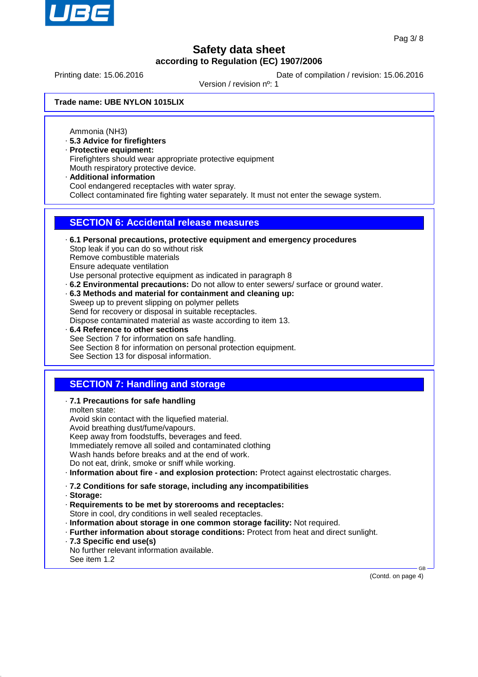

Printing date: 15.06.2016 **Date of compilation / revision: 15.06.2016** 

Version / revision nº: 1

**Trade name: UBE NYLON 1015LIX**

Ammonia (NH3)

- · **5.3 Advice for firefighters**
- · **Protective equipment:**
- Firefighters should wear appropriate protective equipment Mouth respiratory protective device.
- · **Additional information** Cool endangered receptacles with water spray. Collect contaminated fire fighting water separately. It must not enter the sewage system.

### **SECTION 6: Accidental release measures**

- · **6.1 Personal precautions, protective equipment and emergency procedures** Stop leak if you can do so without risk Remove combustible materials Ensure adequate ventilation Use personal protective equipment as indicated in paragraph 8 · **6.2 Environmental precautions:** Do not allow to enter sewers/ surface or ground water.
- · **6.3 Methods and material for containment and cleaning up:** Sweep up to prevent slipping on polymer pellets Send for recovery or disposal in suitable receptacles.

Dispose contaminated material as waste according to item 13.

· **6.4 Reference to other sections** See Section 7 for information on safe handling. See Section 8 for information on personal protection equipment. See Section 13 for disposal information.

## **SECTION 7: Handling and storage**

· **7.1 Precautions for safe handling**

molten state: Avoid skin contact with the liquefied material. Avoid breathing dust/fume/vapours. Keep away from foodstuffs, beverages and feed. Immediately remove all soiled and contaminated clothing Wash hands before breaks and at the end of work. Do not eat, drink, smoke or sniff while working.

- · **Information about fire and explosion protection:** Protect against electrostatic charges.
- · **7.2 Conditions for safe storage, including any incompatibilities**
- · **Storage:**
- · **Requirements to be met by storerooms and receptacles:** Store in cool, dry conditions in well sealed receptacles.
- · **Information about storage in one common storage facility:** Not required.
- · **Further information about storage conditions:** Protect from heat and direct sunlight.
- · **7.3 Specific end use(s)**
- No further relevant information available. See item 1.2

(Contd. on page 4)

GB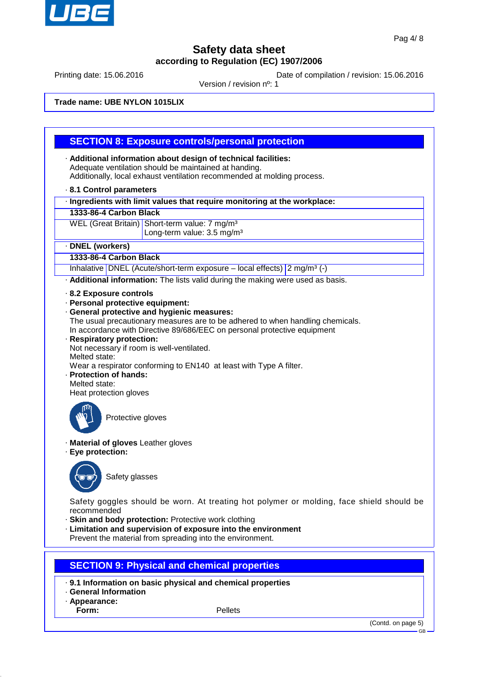

Printing date: 15.06.2016 **Date of compilation / revision: 15.06.2016** 

Version / revision nº: 1

**Trade name: UBE NYLON 1015LIX**

### **SECTION 8: Exposure controls/personal protection**

- · **Additional information about design of technical facilities:** Adequate ventilation should be maintained at handing. Additionally, local exhaust ventilation recommended at molding process.
- · **8.1 Control parameters**
- · **Ingredients with limit values that require monitoring at the workplace:**
- **1333-86-4 Carbon Black**
- WEL (Great Britain) Short-term value: 7 mg/m<sup>3</sup> Long-term value: 3.5 mg/m<sup>3</sup>

#### · **DNEL (workers)**

#### **1333-86-4 Carbon Black**

Inhalative DNEL (Acute/short-term exposure – local effects)  $2 \text{ mg/m}^3$  (-)

· **Additional information:** The lists valid during the making were used as basis.

- · **8.2 Exposure controls**
- · **Personal protective equipment:**
- · **General protective and hygienic measures:**
- The usual precautionary measures are to be adhered to when handling chemicals. In accordance with Directive 89/686/EEC on personal protective equipment
- · **Respiratory protection:** Not necessary if room is well-ventilated. Melted state: Wear a respirator conforming to EN140 at least with Type A filter. · **Protection of hands:**
- Melted state:

Heat protection gloves



Protective gloves

- · **Material of gloves** Leather gloves
- · **Eye protection:**



Safety glasses

Safety goggles should be worn. At treating hot polymer or molding, face shield should be recommended

- · **Skin and body protection:** Protective work clothing
- · **Limitation and supervision of exposure into the environment**

Prevent the material from spreading into the environment.

## **SECTION 9: Physical and chemical properties**

- · **9.1 Information on basic physical and chemical properties**
- · **General Information**
- · **Appearance:**

**Form:** Pellets

GB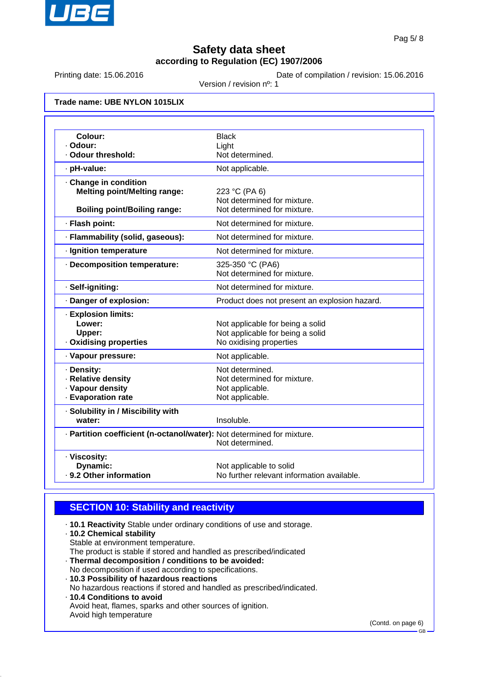

Printing date: 15.06.2016 Date of compilation / revision: 15.06.2016

Version / revision nº: 1

**Trade name: UBE NYLON 1015LIX**

| Colour:                                                                | <b>Black</b>                                               |
|------------------------------------------------------------------------|------------------------------------------------------------|
| · Odour:<br>· Odour threshold:                                         | Light<br>Not determined.                                   |
|                                                                        |                                                            |
| · pH-value:                                                            | Not applicable.                                            |
| Change in condition                                                    |                                                            |
| <b>Melting point/Melting range:</b>                                    | 223 °C (PA 6)                                              |
| <b>Boiling point/Boiling range:</b>                                    | Not determined for mixture.<br>Not determined for mixture. |
|                                                                        |                                                            |
| · Flash point:                                                         | Not determined for mixture.                                |
| · Flammability (solid, gaseous):                                       | Not determined for mixture.                                |
| · Ignition temperature                                                 | Not determined for mixture.                                |
| · Decomposition temperature:                                           | 325-350 °C (PA6)                                           |
|                                                                        | Not determined for mixture.                                |
| · Self-igniting:                                                       | Not determined for mixture.                                |
| · Danger of explosion:                                                 | Product does not present an explosion hazard.              |
| · Explosion limits:                                                    |                                                            |
| Lower:                                                                 | Not applicable for being a solid                           |
| Upper:                                                                 | Not applicable for being a solid                           |
| · Oxidising properties                                                 | No oxidising properties                                    |
| · Vapour pressure:                                                     | Not applicable.                                            |
| · Density:                                                             | Not determined.                                            |
| · Relative density                                                     | Not determined for mixture.                                |
| · Vapour density                                                       | Not applicable.                                            |
| · Evaporation rate                                                     | Not applicable.                                            |
| · Solubility in / Miscibility with                                     |                                                            |
| water:                                                                 | Insoluble.                                                 |
| · Partition coefficient (n-octanol/water): Not determined for mixture. |                                                            |
|                                                                        | Not determined.                                            |
| · Viscosity:                                                           |                                                            |
| Dynamic:                                                               | Not applicable to solid                                    |
| . 9.2 Other information                                                | No further relevant information available.                 |

## **SECTION 10: Stability and reactivity**

· **10.1 Reactivity** Stable under ordinary conditions of use and storage.

- · **10.2 Chemical stability** Stable at environment temperature.
- The product is stable if stored and handled as prescribed/indicated
- · **Thermal decomposition / conditions to be avoided:**
- No decomposition if used according to specifications. · **10.3 Possibility of hazardous reactions**
- No hazardous reactions if stored and handled as prescribed/indicated.
- · **10.4 Conditions to avoid** Avoid heat, flames, sparks and other sources of ignition. Avoid high temperature

(Contd. on page 6)

GB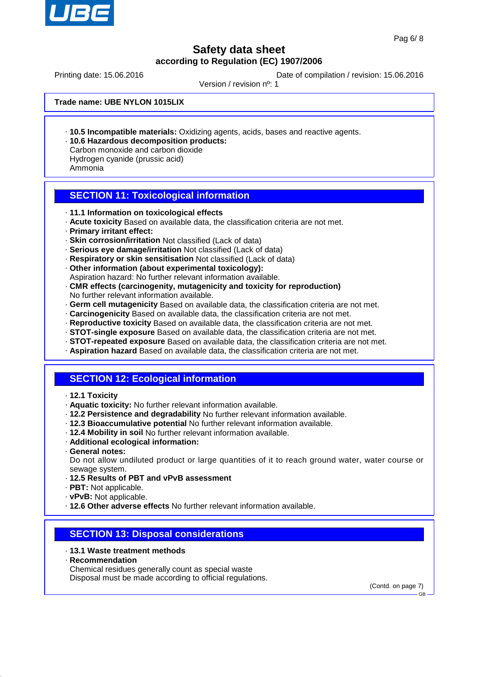

Printing date: 15.06.2016 **Date of compilation / revision: 15.06.2016** 

Version / revision nº: 1

**Trade name: UBE NYLON 1015LIX**

- · **10.5 Incompatible materials:** Oxidizing agents, acids, bases and reactive agents.
- · **10.6 Hazardous decomposition products:** Carbon monoxide and carbon dioxide

Hydrogen cyanide (prussic acid) Ammonia

## **SECTION 11: Toxicological information**

- · **11.1 Information on toxicological effects**
- · **Acute toxicity** Based on available data, the classification criteria are not met.
- · **Primary irritant effect:**
- · **Skin corrosion/irritation** Not classified (Lack of data)
- · **Serious eye damage/irritation** Not classified (Lack of data)
- · **Respiratory or skin sensitisation** Not classified (Lack of data)
- · **Other information (about experimental toxicology):** Aspiration hazard: No further relevant information available.
- · **CMR effects (carcinogenity, mutagenicity and toxicity for reproduction)** No further relevant information available.
- · **Germ cell mutagenicity** Based on available data, the classification criteria are not met.
- · **Carcinogenicity** Based on available data, the classification criteria are not met.
- · **Reproductive toxicity** Based on available data, the classification criteria are not met.
- · **STOT-single exposure** Based on available data, the classification criteria are not met.
- · **STOT-repeated exposure** Based on available data, the classification criteria are not met.
- · **Aspiration hazard** Based on available data, the classification criteria are not met.

### **SECTION 12: Ecological information**

- · **12.1 Toxicity**
- · **Aquatic toxicity:** No further relevant information available.
- · **12.2 Persistence and degradability** No further relevant information available.
- · **12.3 Bioaccumulative potential** No further relevant information available.
- · **12.4 Mobility in soil** No further relevant information available.
- · **Additional ecological information:**
- · **General notes:**

Do not allow undiluted product or large quantities of it to reach ground water, water course or sewage system.

- · **12.5 Results of PBT and vPvB assessment**
- · **PBT:** Not applicable.
- · **vPvB:** Not applicable.
- · **12.6 Other adverse effects** No further relevant information available.

### **SECTION 13: Disposal considerations**

#### · **13.1 Waste treatment methods**

- · **Recommendation**
- Chemical residues generally count as special waste

Disposal must be made according to official regulations.

(Contd. on page 7)

GB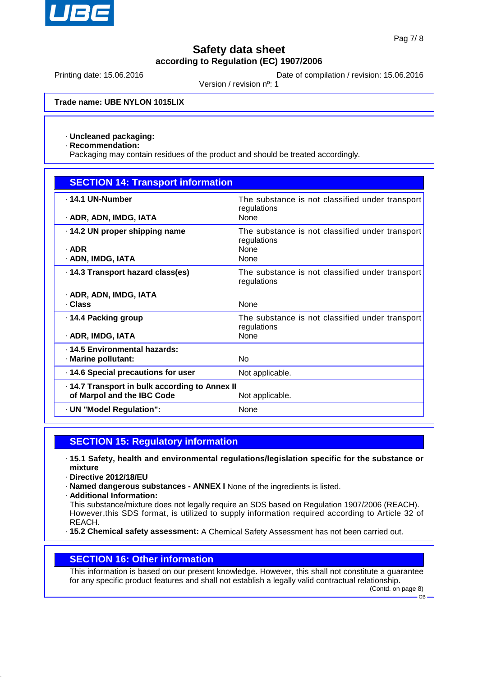

Printing date: 15.06.2016 **Date of compilation / revision: 15.06.2016** 

Version / revision nº: 1

**Trade name: UBE NYLON 1015LIX**

#### · **Uncleaned packaging:**

· **Recommendation:**

Packaging may contain residues of the product and should be treated accordingly.

| <b>SECTION 14: Transport information</b>                                                      |                                                                                       |  |
|-----------------------------------------------------------------------------------------------|---------------------------------------------------------------------------------------|--|
| . 14.1 UN-Number<br>· ADR, ADN, IMDG, IATA                                                    | The substance is not classified under transport<br>regulations<br>None                |  |
| 14.2 UN proper shipping name<br>$\cdot$ ADR<br>· ADN, IMDG, IATA                              | The substance is not classified under transport<br>regulations<br><b>None</b><br>None |  |
| · 14.3 Transport hazard class(es)                                                             | The substance is not classified under transport<br>regulations                        |  |
| · ADR, ADN, IMDG, IATA<br>· Class                                                             | None                                                                                  |  |
| ⋅ 14.4 Packing group<br>· ADR, IMDG, IATA                                                     | The substance is not classified under transport<br>regulations<br><b>None</b>         |  |
| . 14.5 Environmental hazards:<br>· Marine pollutant:                                          | <b>No</b>                                                                             |  |
| · 14.6 Special precautions for user                                                           | Not applicable.                                                                       |  |
| 14.7 Transport in bulk according to Annex II<br>of Marpol and the IBC Code<br>Not applicable. |                                                                                       |  |
| · UN "Model Regulation":                                                                      | None                                                                                  |  |

### **SECTION 15: Regulatory information**

- · **15.1 Safety, health and environmental regulations/legislation specific for the substance or mixture**
- · **Directive 2012/18/EU**
- · **Named dangerous substances ANNEX I** None of the ingredients is listed.
- · **Additional Information:**
- This substance/mixture does not legally require an SDS based on Regulation 1907/2006 (REACH). However,this SDS format, is utilized to supply information required according to Article 32 of REACH.
- · **15.2 Chemical safety assessment:** A Chemical Safety Assessment has not been carried out.

#### **SECTION 16: Other information**

This information is based on our present knowledge. However, this shall not constitute a guarantee for any specific product features and shall not establish a legally valid contractual relationship.

(Contd. on page 8) GB